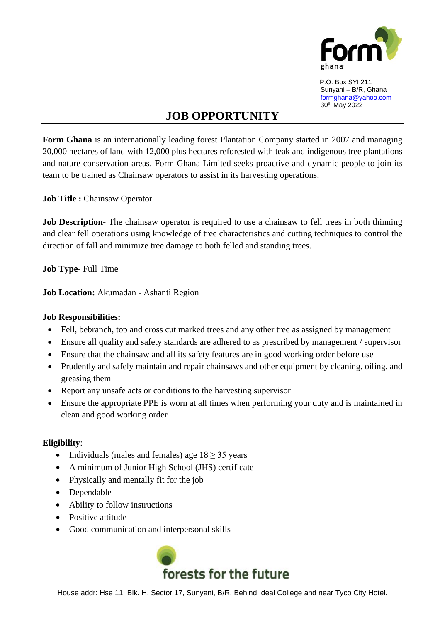

 P.O. Box SYI 211 Sunyani – B/R, Ghana [formghana@yahoo.com](mailto:formghana@yahoo.com) 30th May 2022

## **JOB OPPORTUNITY**

**Form Ghana** is an internationally leading forest Plantation Company started in 2007 and managing 20,000 hectares of land with 12,000 plus hectares reforested with teak and indigenous tree plantations and nature conservation areas. Form Ghana Limited seeks proactive and dynamic people to join its team to be trained as Chainsaw operators to assist in its harvesting operations.

**Job Title :** Chainsaw Operator

**Job Description**- The chainsaw operator is required to use a chainsaw to fell trees in both thinning and clear fell operations using knowledge of tree characteristics and cutting techniques to control the direction of fall and minimize tree damage to both felled and standing trees.

**Job Type**- Full Time

**Job Location:** Akumadan - Ashanti Region

## **Job Responsibilities:**

- Fell, bebranch, top and cross cut marked trees and any other tree as assigned by management
- Ensure all quality and safety standards are adhered to as prescribed by management / supervisor
- Ensure that the chainsaw and all its safety features are in good working order before use
- Prudently and safely maintain and repair chainsaws and other equipment by cleaning, oiling, and greasing them
- Report any unsafe acts or conditions to the harvesting supervisor
- Ensure the appropriate PPE is worn at all times when performing your duty and is maintained in clean and good working order

## **Eligibility**:

- Individuals (males and females) age  $18 \geq 35$  years
- A minimum of Junior High School (JHS) certificate
- Physically and mentally fit for the job
- Dependable
- Ability to follow instructions
- Positive attitude
- Good communication and interpersonal skills



House addr: Hse 11, Blk. H, Sector 17, Sunyani, B/R, Behind Ideal College and near Tyco City Hotel.